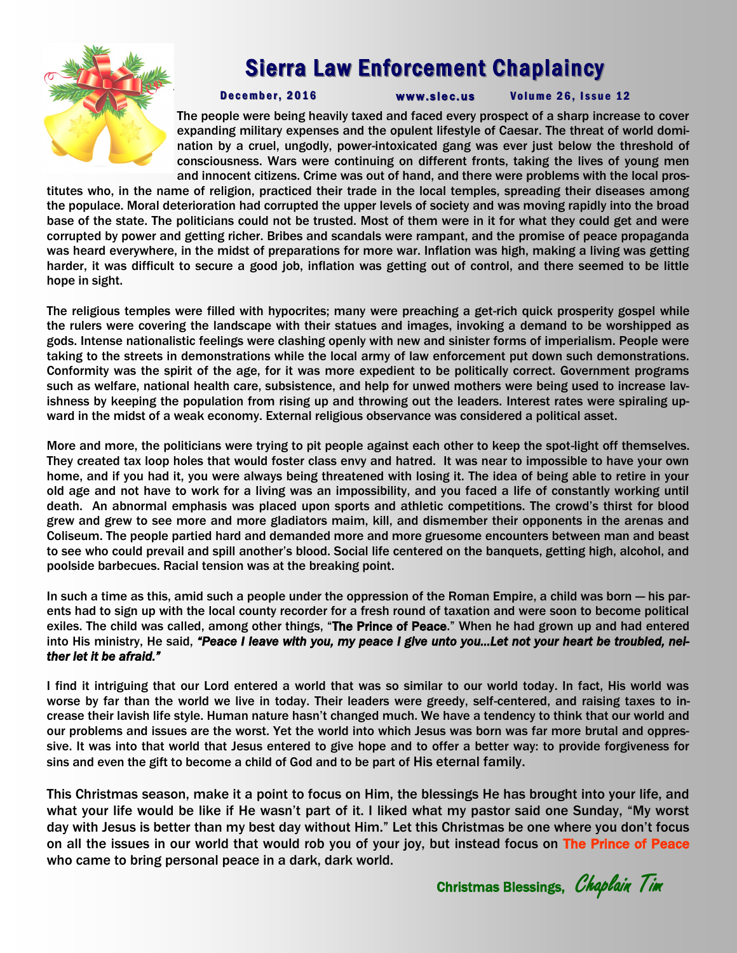

## Sierra Law Enforcement Chaplaincy

December, 2016 www.slec.us Volume 26, Issue 12

The people were being heavily taxed and faced every prospect of a sharp increase to cover expanding military expenses and the opulent lifestyle of Caesar. The threat of world domination by a cruel, ungodly, power-intoxicated gang was ever just below the threshold of consciousness. Wars were continuing on different fronts, taking the lives of young men and innocent citizens. Crime was out of hand, and there were problems with the local pros-

titutes who, in the name of religion, practiced their trade in the local temples, spreading their diseases among the populace. Moral deterioration had corrupted the upper levels of society and was moving rapidly into the broad base of the state. The politicians could not be trusted. Most of them were in it for what they could get and were corrupted by power and getting richer. Bribes and scandals were rampant, and the promise of peace propaganda was heard everywhere, in the midst of preparations for more war. Inflation was high, making a living was getting harder, it was difficult to secure a good job, inflation was getting out of control, and there seemed to be little hope in sight.

The religious temples were filled with hypocrites; many were preaching a get-rich quick prosperity gospel while the rulers were covering the landscape with their statues and images, invoking a demand to be worshipped as gods. Intense nationalistic feelings were clashing openly with new and sinister forms of imperialism. People were taking to the streets in demonstrations while the local army of law enforcement put down such demonstrations. Conformity was the spirit of the age, for it was more expedient to be politically correct. Government programs such as welfare, national health care, subsistence, and help for unwed mothers were being used to increase lavishness by keeping the population from rising up and throwing out the leaders. Interest rates were spiraling upward in the midst of a weak economy. External religious observance was considered a political asset.

More and more, the politicians were trying to pit people against each other to keep the spot-light off themselves. They created tax loop holes that would foster class envy and hatred. It was near to impossible to have your own home, and if you had it, you were always being threatened with losing it. The idea of being able to retire in your old age and not have to work for a living was an impossibility, and you faced a life of constantly working until death. An abnormal emphasis was placed upon sports and athletic competitions. The crowd's thirst for blood grew and grew to see more and more gladiators maim, kill, and dismember their opponents in the arenas and Coliseum. The people partied hard and demanded more and more gruesome encounters between man and beast to see who could prevail and spill another's blood. Social life centered on the banquets, getting high, alcohol, and poolside barbecues. Racial tension was at the breaking point.

In such a time as this, amid such a people under the oppression of the Roman Empire, a child was born — his parents had to sign up with the local county recorder for a fresh round of taxation and were soon to become political exiles. The child was called, among other things, "The Prince of Peace." When he had grown up and had entered into His ministry, He said, *"Peace I leave with you, my peace I give unto you…Let not your heart be troubled, neither let it be afraid."* 

I find it intriguing that our Lord entered a world that was so similar to our world today. In fact, His world was worse by far than the world we live in today. Their leaders were greedy, self-centered, and raising taxes to increase their lavish life style. Human nature hasn't changed much. We have a tendency to think that our world and our problems and issues are the worst. Yet the world into which Jesus was born was far more brutal and oppressive. It was into that world that Jesus entered to give hope and to offer a better way: to provide forgiveness for sins and even the gift to become a child of God and to be part of His eternal family.

This Christmas season, make it a point to focus on Him, the blessings He has brought into your life, and what your life would be like if He wasn't part of it. I liked what my pastor said one Sunday, "My worst day with Jesus is better than my best day without Him." Let this Christmas be one where you don't focus on all the issues in our world that would rob you of your joy, but instead focus on The Prince of Peace who came to bring personal peace in a dark, dark world.

Christmas Blessings, Chaplain Tim